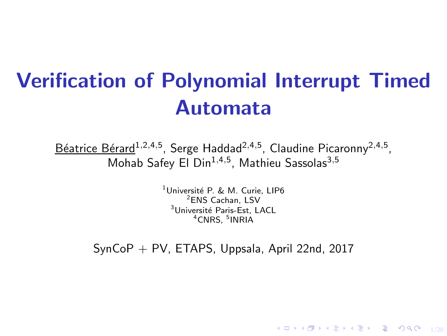# Verification of Polynomial Interrupt Timed Automata

<u>Béatrice Bérard<sup>1,2,4,5</sup>,</u> Serge Haddad<sup>2,4,5</sup>, Claudine Picaronny<sup>2,4,5</sup>, Mohab Safey El Din<sup>1,4,5</sup>, Mathieu Sassolas<sup>3,5</sup>

> <sup>1</sup>Université P. & M. Curie, LIP6 <sup>2</sup>ENS Cachan, LSV <sup>3</sup>Université Paris-Est, LACL <sup>4</sup>CNRS, <sup>5</sup>INRIA

 $SynCoP + PV$ , ETAPS, Uppsala, April 22nd, 2017

1/20 → 1/20 → 1/20 → 1/20 → 1/20 → 1/20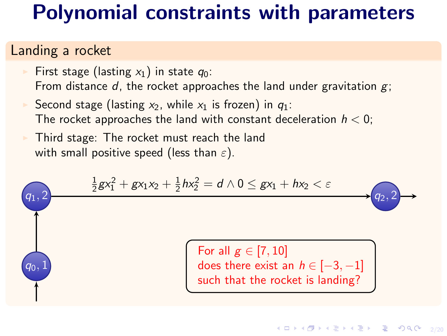### Polynomial constraints with parameters

#### Landing a rocket

First stage (lasting  $x_1$ ) in state  $q_0$ : From distance d, the rocket approaches the land under gravitation  $g$ ;

Second stage (lasting  $x_2$ , while  $x_1$  is frozen) in  $q_1$ : The rocket approaches the land with constant deceleration  $h < 0$ ;

Third stage: The rocket must reach the land with small positive speed (less than  $\varepsilon$ ).

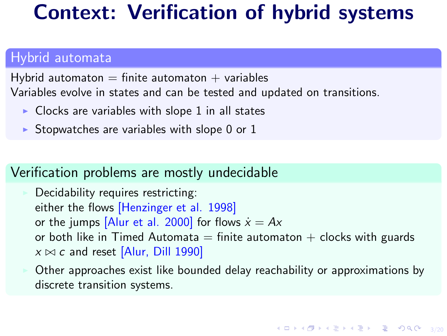### Context: Verification of hybrid systems

#### Hybrid automata

Hybrid automaton  $=$  finite automaton  $+$  variables Variables evolve in states and can be tested and updated on transitions.

- $\triangleright$  Clocks are variables with slope 1 in all states
- Stopwatches are variables with slope  $0$  or  $1$

#### Verification problems are mostly undecidable

Decidability requires restricting: either the flows [Henzinger et al. 1998] or the jumps [Alur et al. 2000] for flows  $\dot{x} = Ax$ or both like in Timed Automata  $=$  finite automaton  $+$  clocks with guards  $x \bowtie c$  and reset [Alur, Dill 1990]

◮ Other approaches exist like bounded delay reachability or approximations by discrete transition systems.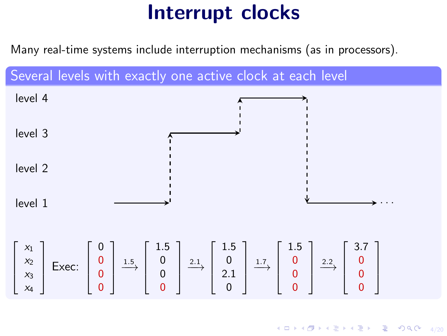# Interrupt clocks

Many real-time systems include interruption mechanisms (as in processors).

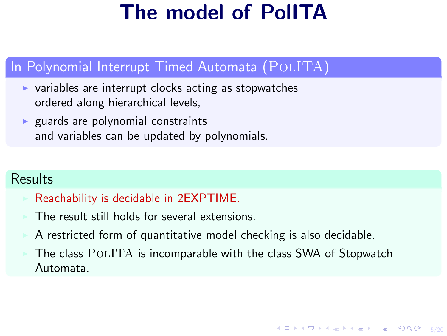# The model of PolITA

#### In Polynomial Interrupt Timed Automata (POLITA)

- $\triangleright$  variables are interrupt clocks acting as stopwatches ordered along hierarchical levels,
- $\triangleright$  guards are polynomial constraints and variables can be updated by polynomials.

#### **Results**

#### ◮ Reachability is decidable in 2EXPTIME.

- The result still holds for several extensions.
- ◮ A restricted form of quantitative model checking is also decidable.
- The class POLITA is incomparable with the class SWA of Stopwatch Automata.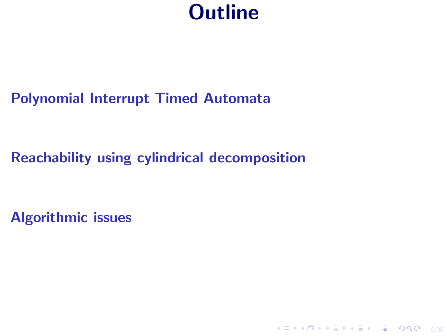### **Outline**

### [Polynomial Interrupt Timed Automata](#page-6-0)

### [Reachability using cylindrical decomposition](#page-12-0)

[Algorithmic issues](#page-26-0)

4 ロ ▶ 4 @ ▶ 4 ミ ▶ 4 ミ ▶ - ミ - 9 Q Q - 6/20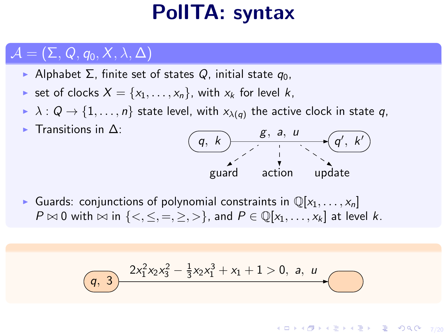### PolITA: syntax

### <span id="page-6-0"></span> $\mathcal{A} = (\Sigma, Q, q_0, X, \lambda, \Delta)$

 $\blacktriangleright$  Transitions in  $\Delta$ :

- $\triangleright$  Alphabet Σ, finite set of states Q, initial state  $q_0$ ,
- ► set of clocks  $X = \{x_1, \ldots, x_n\}$ , with  $x_k$  for level  $k$ ,
- $\blacktriangleright\ \lambda:Q\to\{1,\ldots,n\}$  state level, with  ${\sf x}_{\lambda(q)}$  the active clock in state  $q,$



Guards: conjunctions of polynomial constraints in  $\mathbb{Q}[x_1, \ldots, x_n]$  $P \bowtie 0$  with  $\bowtie$  in  $\{<, \leq, =, \geq, >\}$ , and  $P \in \mathbb{Q}[x_1, \ldots, x_k]$  at level k.

$$
(q, 3) \quad \frac{2x_1^2x_2x_3^2 - \frac{1}{3}x_2x_1^3 + x_1 + 1 > 0, \ a, \ u}{\sqrt{q}}.
$$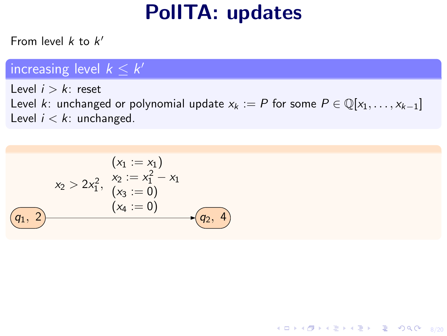# PolITA: updates

From level  $k$  to  $k'$ 

### increasing level  $k \leq k'$

Level  $i > k$ : reset Level k: unchanged or polynomial update  $x_k := P$  for some  $P \in \mathbb{Q}[x_1, \ldots, x_{k-1}]$ Level  $i < k$ : unchanged.

4 ロ ▶ 4 @ ▶ 4 할 ▶ 4 할 ▶ 그럴 ▶ 이익 Q + 8/20

$$
(x_1 := x_1)
$$
  
\n
$$
x_2 > 2x_1^2, \quad x_2 := x_1^2 - x_1
$$
  
\n
$$
(x_3 := 0)
$$
  
\n
$$
(x_4 := 0)
$$
  
\n
$$
(q_1, 2)
$$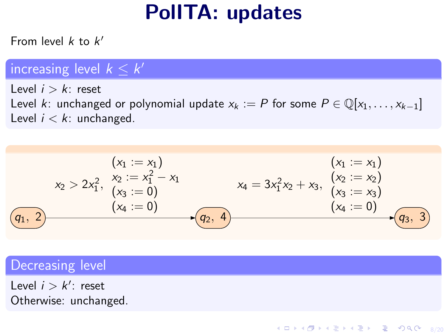# PolITA: updates

From level  $k$  to  $k'$ 

### increasing level  $k \leq k'$

Level  $i > k$ : reset Level k: unchanged or polynomial update  $x_k := P$  for some  $P \in \mathbb{Q}[x_1, \ldots, x_{k-1}]$ Level  $i < k$ : unchanged.

$$
(x_1 := x_1)
$$
\n
$$
x_2 > 2x_1^2, \begin{cases} x_2 := x_1^2 - x_1 \\ (x_3 := 0) \end{cases}
$$
\n
$$
(x_1 := x_1)
$$
\n
$$
x_4 = 3x_1^2x_2 + x_3, \begin{cases} (x_2 := x_2) \\ (x_3 := x_3) \end{cases}
$$
\n
$$
(x_1 := x_1)
$$
\n
$$
(x_2 := x_2)
$$
\n
$$
(x_3 := x_3)
$$
\n
$$
(x_4 := 0)
$$
\n
$$
(x_4 := 0)
$$
\n
$$
(x_4 := 0)
$$

Decreasing level

Level  $i > k'$ : reset Otherwise: unchanged.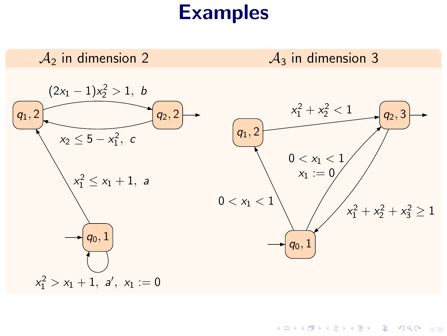### Examples

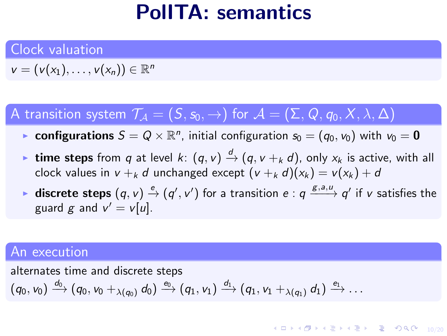### PolITA: semantics

#### Clock valuation

 $v = (v(x_1), \ldots, v(x_n)) \in \mathbb{R}^n$ 

### A transition system  $\mathcal{T}_A = (S, s_0, \rightarrow)$  for  $\mathcal{A} = (\Sigma, Q, q_0, X, \lambda, \Delta)$

- $\blacktriangleright$  configurations  $\mathcal{S} = \mathcal{Q} \times \mathbb{R}^n$ , initial configuration  $s_0 = (q_0, v_0)$  with  $v_0 = \mathbf{0}$
- ► time steps from q at level  $k: (q, v) \stackrel{d}{\rightarrow} (q, v +_k d)$ , only  $x_k$  is active, with all clock values in  $v + k d$  unchanged except  $(v + k d)(x_k) = v(x_k) + d$
- ► discrete steps  $(q, v) \stackrel{e}{\rightarrow} (q', v')$  for a transition  $e : q \xrightarrow{g, a, u} q'$  if  $v$  satisfies the guard g and  $v' = v[u]$ .

#### An execution

alternates time and discrete steps  $(q_0,\mathsf{v}_0)\stackrel{d_0}{\longrightarrow} (q_0,\mathsf{v}_0+_{\lambda(q_0)}d_0)\stackrel{\mathsf{e}_0}{\longrightarrow} (q_1,\mathsf{v}_1)\stackrel{d_1}{\longrightarrow} (q_1,\mathsf{v}_1+_{\lambda(q_1)}d_1)\stackrel{\mathsf{e}_1}{\longrightarrow}\ldots$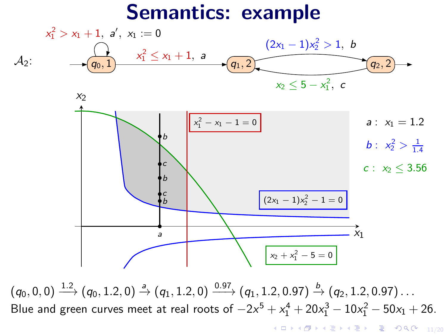### Semantics: example



 $(q_0, 0, 0) \stackrel{1.2}{\longrightarrow} (q_0, 1.2, 0) \stackrel{a}{\rightarrow} (q_1, 1.2, 0) \stackrel{0.97}{\longrightarrow} (q_1, 1.2, 0.97) \stackrel{b}{\rightarrow} (q_2, 1.2, 0.97) \ldots$ Blue and green curves meet at real roots of  $-2x^5 + x_1^4 + 20x_1^3 - 10x_1^2 - 50x_1 + 26$ .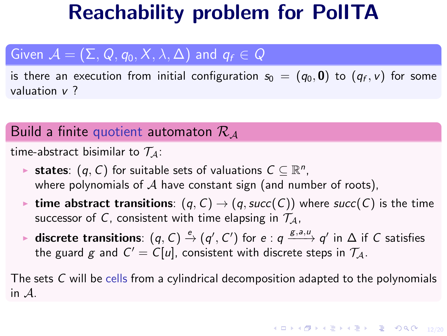### Reachability problem for PolITA

### <span id="page-12-0"></span>Given  $\mathcal{A} = (\Sigma, Q, q_0, X, \lambda, \Delta)$  and  $q_f \in Q$

is there an execution from initial configuration  $s_0~=~(\emph{q}_0,\bm{0})$  to  $(\emph{q}_f,\emph{v})$  for some valuation v ?

#### Build a finite quotient automaton  $\mathcal{R}_\mathcal{A}$

time-abstract bisimilar to  $\mathcal{T}_A$ :

- ► states:  $(q, C)$  for suitable sets of valuations  $C \subseteq \mathbb{R}^n$ , where polynomials of  $A$  have constant sign (and number of roots),
- ime abstract transitions:  $(q, C) \rightarrow (q, succ(C))$  where succ(C) is the time successor of C, consistent with time elapsing in  $\mathcal{T}_A$ ,
- ► discrete transitions:  $(q, C) \stackrel{e}{\rightarrow} (q', C')$  for  $e : q \xrightarrow{g, a, u} q'$  in  $\Delta$  if  $C$  satisfies the guard  $g$  and  $C' = C[u]$ , consistent with discrete steps in  $\mathcal{T}_\mathcal{A}.$

The sets C will be cells from a cylindrical decomposition adapted to the polynomials in A.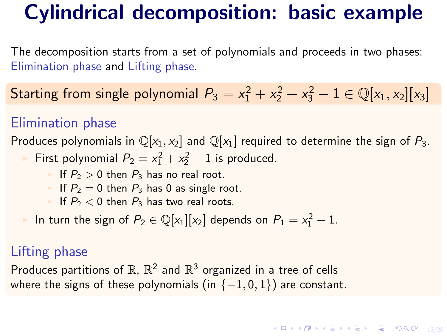# Cylindrical decomposition: basic example

The decomposition starts from a set of polynomials and proceeds in two phases: Elimination phase and Lifting phase.

Starting from single polynomial  $P_3 = x_1^2 + x_2^2 + x_3^2 - 1 \in \mathbb{Q}[x_1, x_2][x_3]$ 

#### Elimination phase

Produces polynomials in  $\mathbb{Q}[x_1, x_2]$  and  $\mathbb{Q}[x_1]$  required to determine the sign of  $P_3$ . First polynomial  $P_2 = x_1^2 + x_2^2 - 1$  is produced.

- If  $P_2 > 0$  then  $P_3$  has no real root.
- If  $P_2 = 0$  then  $P_3$  has 0 as single root.
- If  $P_2 < 0$  then  $P_3$  has two real roots.

In turn the sign of  $P_2 \in \mathbb{Q}[x_1][x_2]$  depends on  $P_1 = x_1^2 - 1$ .

#### Lifting phase

Produces partitions of  $\mathbb{R}$ ,  $\mathbb{R}^2$  and  $\mathbb{R}^3$  organized in a tree of cells where the signs of these polynomials (in  $\{-1,0,1\}$ ) are constant.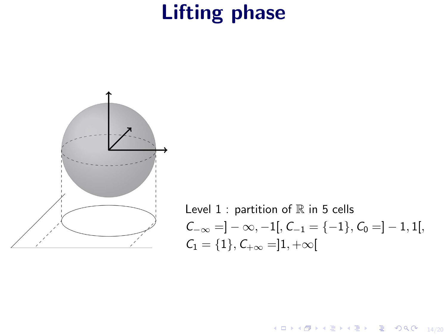# Lifting phase



Level 1: partition of R in 5 cells  
\n
$$
C_{-\infty} = ]-\infty, -1[, C_{-1} = \{-1\}, C_0 = ]-1, 1[,
$$
  
\n $C_1 = \{1\}, C_{+\infty} = ]1, +\infty[$ 

14/20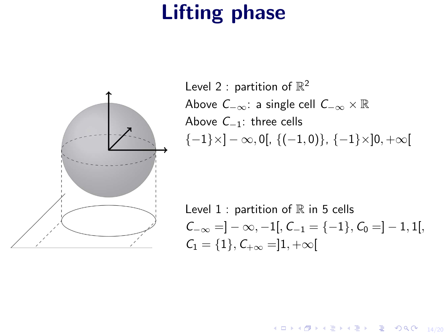# Lifting phase



Level 2 : partition of  $\mathbb{R}^2$ Above  $C_{-\infty}$ : a single cell  $C_{-\infty} \times \mathbb{R}$ Above C−1: three cells  ${-1} \times ]-\infty, 0[$ ,  ${(-1, 0)}$ ,  ${-1} \times ]0, +\infty[$ 

Level  $1$  : partition of  $\mathbb R$  in 5 cells  $C_{-\infty} = ] - \infty, -1[$ ,  $C_{-1} = \{-1\}, C_0 = ] -1, 1[$  $C_1 = \{1\}, C_{+\infty} = ]1, +\infty[$ 

10 → 1日 → 1월 → 1월 → 1월 → 9 Q → 14/20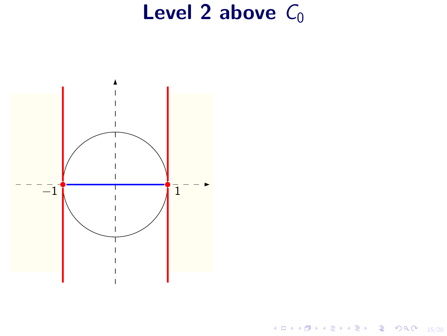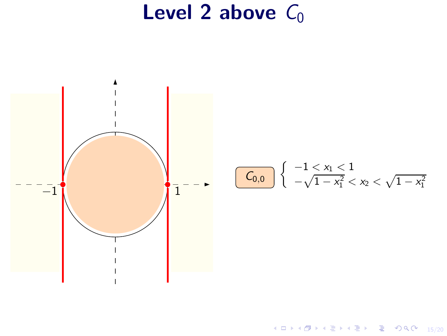

Kロト K部 K K ミト K ミト → ミー の R (20) 15/20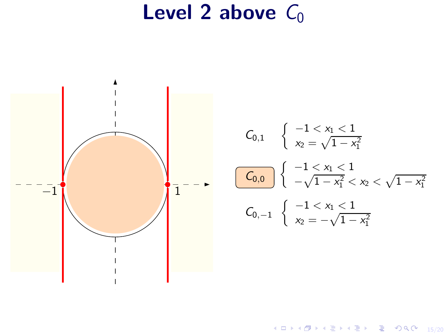

$$
C_{0,1} \quad \left\{ \begin{array}{l} -1 < x_1 < 1 \\ x_2 = \sqrt{1 - x_1^2} \end{array} \right.
$$
\n
$$
\begin{array}{l} \boxed{C_{0,0}} \\ \boxed{C_{0,0}} \end{array} \right\} \left\{ \begin{array}{l} -1 < x_1 < 1 \\ -\sqrt{1 - x_1^2} < x_2 < \sqrt{1 - x_1^2} \end{array} \right.
$$
\n
$$
C_{0,-1} \quad \left\{ \begin{array}{l} -1 < x_1 < 1 \\ x_2 = -\sqrt{1 - x_1^2} \end{array} \right.
$$

1日→ 1日→ 1日→ 1日→ 1日→ 990 15/20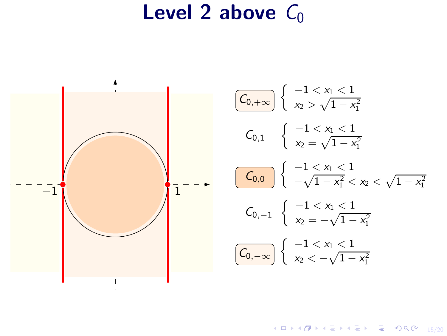

1日 → 1日 → 1월 → 1월 → 1월 → 9여여 15/20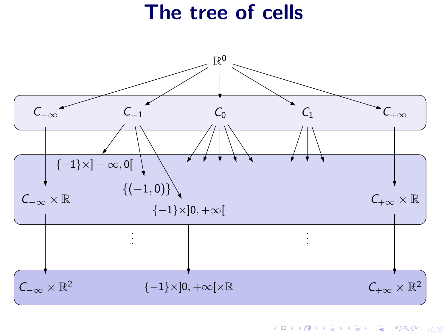### The tree of cells

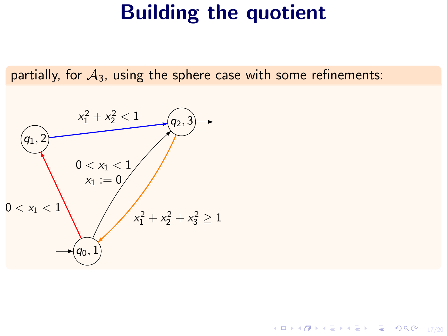11/20 → 12/20 → 12/20 → 12/20 → 12/20

partially, for  $A_3$ , using the sphere case with some refinements:

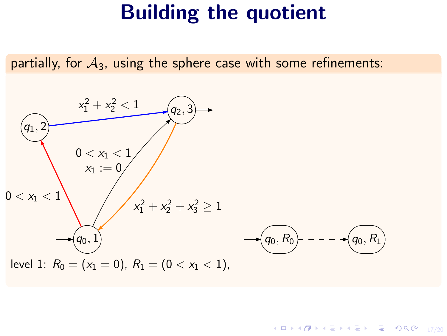partially, for  $A_3$ , using the sphere case with some refinements:

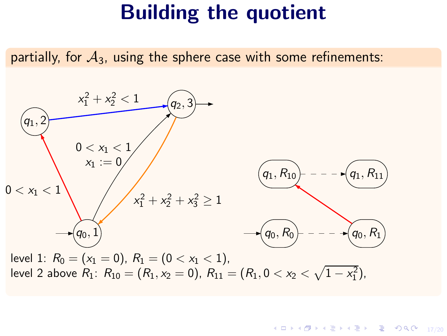partially, for  $A_3$ , using the sphere case with some refinements:



level 2 above  $R_1: R_{10} = (R_1, x_2 = 0), R_{11} = (R_1, 0 < x_2 < \sqrt{1-x_1^2}),$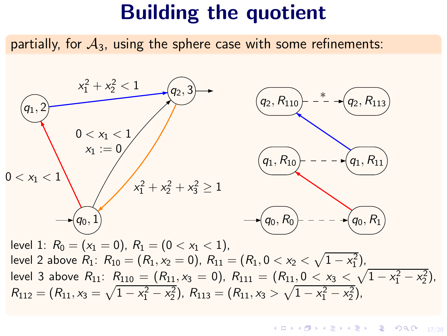partially, for  $A_3$ , using the sphere case with some refinements:

q0, 1 q1, 2  $q_2, 3$  $0 < x_1 <$  $x_1 := 0$  $x_1^2 + x_2^2 + x_3^2 \ge 1$  $0 < x_1 <$  $x_1^2 + x_2^2 < 1$  $(q_0, R_0)$  - - -  $\rightarrow$   $(q_0, R_1)$  $q_1, R_{10}$  $(q_2, R_{110})$  -  $^*$   $\rightarrow$   $(q_2, R_{113})$ ∗ level 1:  $R_0 = (x_1 = 0), R_1 = (0 < x_1 < 1),$ level 2 above  $R_1: R_{10} = (R_1, x_2 = 0), R_{11} = (R_1, 0 < x_2 < \sqrt{1-x_1^2}),$ level 3 above  $R_{11}$ :  $R_{110} = (R_{11}, x_3 = 0)$ ,  $R_{111} = (R_{11}, 0 < x_3 < \sqrt{1-x_1^2-x_2^2})$ ,  $R_{112} = (R_{11}, x_3 = \sqrt{1 - x_1^2 - x_2^2}), R_{113} = (R_{11}, x_3 > \sqrt{1 - x_1^2 - x_2^2}),$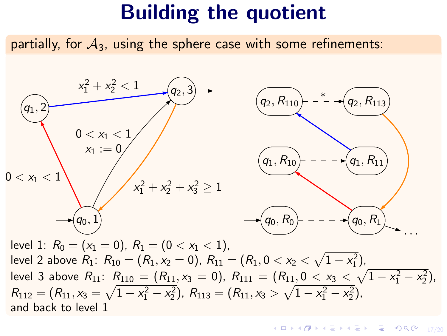partially, for  $A_3$ , using the sphere case with some refinements:

q0, 1 q1, 2  $q_2, 3$  $0 < x_1 < 1$  $x_1 := 0$  $x_1^2 + x_2^2 + x_3^2 \ge 1$  $0 < x_1 <$  $x_1^2 + x_2^2 < 1$  $q_0, R_1$  $q_1, R_{10}$  $(q_2, R_{110})$  -  $\rightarrow$  -  $(q_2, R_{113})$ ∗ · · · level 1:  $R_0 = (x_1 = 0), R_1 = (0 < x_1 < 1),$ level 2 above  $R_1: R_{10} = (R_1, x_2 = 0), R_{11} = (R_1, 0 < x_2 < \sqrt{1-x_1^2}),$ level 3 above  $R_{11}$ :  $R_{110} = (R_{11}, x_3 = 0)$ ,  $R_{111} = (R_{11}, 0 < x_3 < \sqrt{1-x_1^2-x_2^2})$ ,  $R_{112} = (R_{11}, x_3 = \sqrt{1 - x_1^2 - x_2^2}), R_{113} = (R_{11}, x_3 > \sqrt{1 - x_1^2 - x_2^2}),$ and back to level 1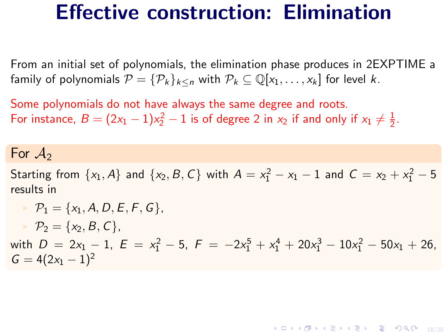### <span id="page-26-0"></span>Effective construction: Elimination

From an initial set of polynomials, the elimination phase produces in 2EXPTIME a family of polynomials  $\mathcal{P} = {\mathcal{P}_k}_{k \le n}$  with  $\mathcal{P}_k \subseteq \mathbb{Q}[x_1, \ldots, x_k]$  for level k.

Some polynomials do not have always the same degree and roots. For instance,  $B = (2x_1 - 1)x_2^2 - 1$  is of degree 2 in  $x_2$  if and only if  $x_1 \neq \frac{1}{2}$ .

For  $A_2$ 

Starting from  $\{x_1, A\}$  and  $\{x_2, B, C\}$  with  $A = x_1^2 - x_1 - 1$  and  $C = x_2 + x_1^2 - 5$ results in

$$
\begin{aligned}\n& \mathcal{P}_1 = \{x_1, A, D, E, F, G\}, \\
& \mathcal{P}_2 = \{x_2, B, C\}, \\
& \text{with } D = 2x_1 - 1, E = x_1^2 - 5, F = -2x_1^5 + x_1^4 + 20x_1^3 - 10x_1^2 - 50x_1 + 26, \\
& G = 4(2x_1 - 1)^2\n\end{aligned}
$$

18/20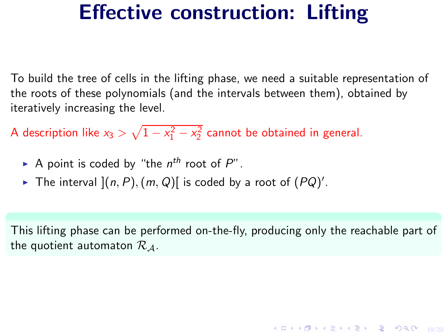### Effective construction: Lifting

To build the tree of cells in the lifting phase, we need a suitable representation of the roots of these polynomials (and the intervals between them), obtained by iteratively increasing the level.

A description like  $x_3 > \sqrt{1-x_1^2-x_2^2}$  cannot be obtained in general.

- A point is coded by "the  $n^{th}$  root of  $P$ ".
- The interval  $](n, P), (m, Q)[$  is coded by a root of  $(PQ)'$ .

This lifting phase can be performed on-the-fly, producing only the reachable part of the quotient automaton  $\mathcal{R}_A$ .

19/20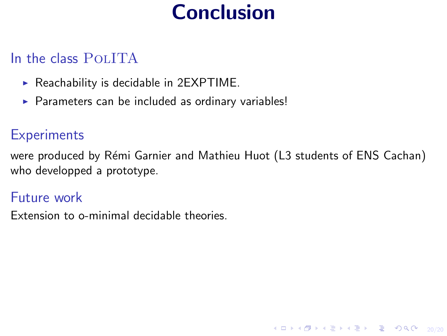# Conclusion

### In the class POLITA

- $\triangleright$  Reachability is decidable in 2EXPTIME.
- ▶ Parameters can be included as ordinary variables!

#### **Experiments**

were produced by Rémi Garnier and Mathieu Huot (L3 students of ENS Cachan) who developped a prototype.

4 ロ → 4 @ → 4 할 → 4 할 → 1 할 → 9 Q O + 20/20

#### Future work

Extension to o-minimal decidable theories.